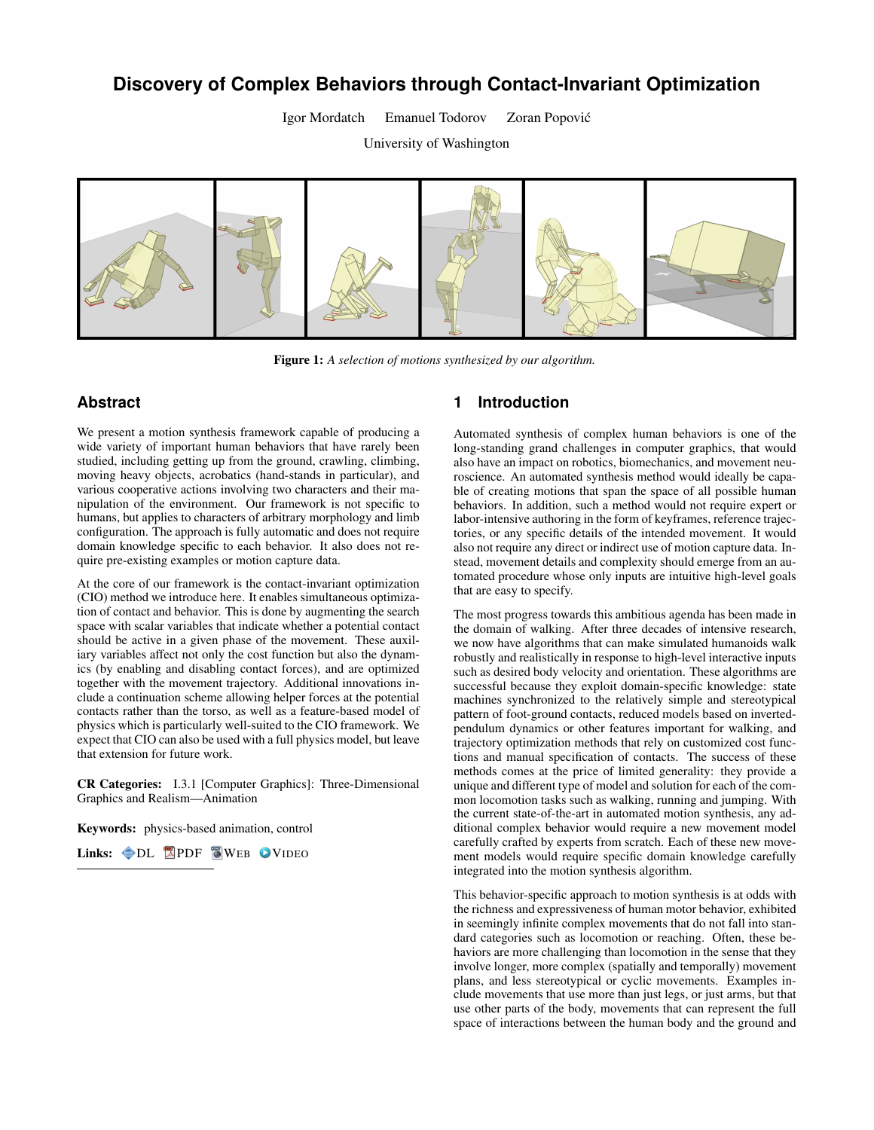# **Discovery of Complex Behaviors through Contact-Invariant Optimization**

Igor Mordatch Emanuel Todorov Zoran Popovic´

University of Washington



Figure 1: *A selection of motions synthesized by our algorithm.*

## **Abstract**

We present a motion synthesis framework capable of producing a wide variety of important human behaviors that have rarely been studied, including getting up from the ground, crawling, climbing, moving heavy objects, acrobatics (hand-stands in particular), and various cooperative actions involving two characters and their manipulation of the environment. Our framework is not specific to humans, but applies to characters of arbitrary morphology and limb configuration. The approach is fully automatic and does not require domain knowledge specific to each behavior. It also does not require pre-existing examples or motion capture data.

At the core of our framework is the contact-invariant optimization (CIO) method we introduce here. It enables simultaneous optimization of contact and behavior. This is done by augmenting the search space with scalar variables that indicate whether a potential contact should be active in a given phase of the movement. These auxiliary variables affect not only the cost function but also the dynamics (by enabling and disabling contact forces), and are optimized together with the movement trajectory. Additional innovations include a continuation scheme allowing helper forces at the potential contacts rather than the torso, as well as a feature-based model of physics which is particularly well-suited to the CIO framework. We expect that CIO can also be used with a full physics model, but leave that extension for future work.

CR Categories: I.3.1 [Computer Graphics]: Three-Dimensional Graphics and Realism—Animation

Keywords: physics-based animation, control

Links: OL **E[PDF](http://portal.acm.org/ft_gateway.cfm?id=2185539&type=pdf)** [W](www.cs.washington.edu/homes/mordatch/cio/index.html)EB OV[IDEO](www.cs.washington.edu/homes/mordatch/cio/cio.mov)

# **1 Introduction**

Automated synthesis of complex human behaviors is one of the long-standing grand challenges in computer graphics, that would also have an impact on robotics, biomechanics, and movement neuroscience. An automated synthesis method would ideally be capable of creating motions that span the space of all possible human behaviors. In addition, such a method would not require expert or labor-intensive authoring in the form of keyframes, reference trajectories, or any specific details of the intended movement. It would also not require any direct or indirect use of motion capture data. Instead, movement details and complexity should emerge from an automated procedure whose only inputs are intuitive high-level goals that are easy to specify.

The most progress towards this ambitious agenda has been made in the domain of walking. After three decades of intensive research, we now have algorithms that can make simulated humanoids walk robustly and realistically in response to high-level interactive inputs such as desired body velocity and orientation. These algorithms are successful because they exploit domain-specific knowledge: state machines synchronized to the relatively simple and stereotypical pattern of foot-ground contacts, reduced models based on invertedpendulum dynamics or other features important for walking, and trajectory optimization methods that rely on customized cost functions and manual specification of contacts. The success of these methods comes at the price of limited generality: they provide a unique and different type of model and solution for each of the common locomotion tasks such as walking, running and jumping. With the current state-of-the-art in automated motion synthesis, any additional complex behavior would require a new movement model carefully crafted by experts from scratch. Each of these new movement models would require specific domain knowledge carefully integrated into the motion synthesis algorithm.

This behavior-specific approach to motion synthesis is at odds with the richness and expressiveness of human motor behavior, exhibited in seemingly infinite complex movements that do not fall into standard categories such as locomotion or reaching. Often, these behaviors are more challenging than locomotion in the sense that they involve longer, more complex (spatially and temporally) movement plans, and less stereotypical or cyclic movements. Examples include movements that use more than just legs, or just arms, but that use other parts of the body, movements that can represent the full space of interactions between the human body and the ground and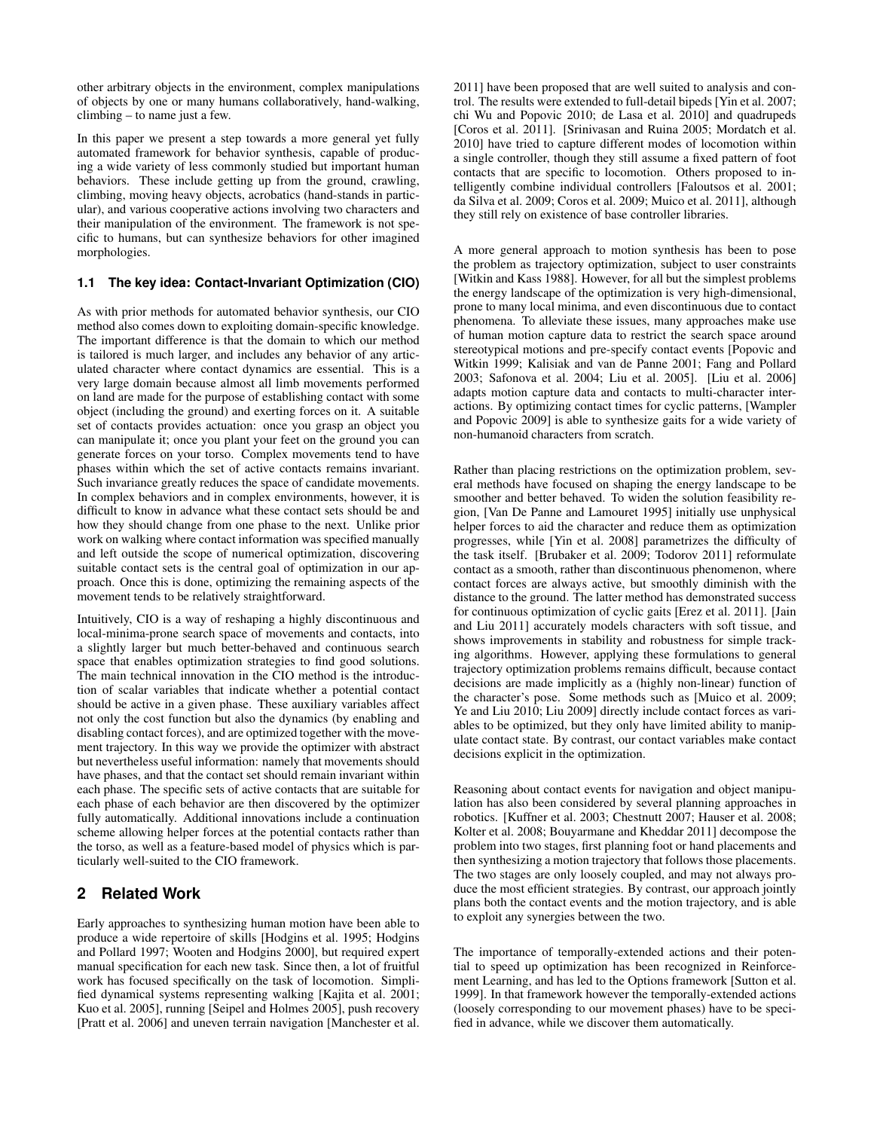other arbitrary objects in the environment, complex manipulations of objects by one or many humans collaboratively, hand-walking, climbing – to name just a few.

In this paper we present a step towards a more general yet fully automated framework for behavior synthesis, capable of producing a wide variety of less commonly studied but important human behaviors. These include getting up from the ground, crawling, climbing, moving heavy objects, acrobatics (hand-stands in particular), and various cooperative actions involving two characters and their manipulation of the environment. The framework is not specific to humans, but can synthesize behaviors for other imagined morphologies.

### **1.1 The key idea: Contact-Invariant Optimization (CIO)**

As with prior methods for automated behavior synthesis, our CIO method also comes down to exploiting domain-specific knowledge. The important difference is that the domain to which our method is tailored is much larger, and includes any behavior of any articulated character where contact dynamics are essential. This is a very large domain because almost all limb movements performed on land are made for the purpose of establishing contact with some object (including the ground) and exerting forces on it. A suitable set of contacts provides actuation: once you grasp an object you can manipulate it; once you plant your feet on the ground you can generate forces on your torso. Complex movements tend to have phases within which the set of active contacts remains invariant. Such invariance greatly reduces the space of candidate movements. In complex behaviors and in complex environments, however, it is difficult to know in advance what these contact sets should be and how they should change from one phase to the next. Unlike prior work on walking where contact information was specified manually and left outside the scope of numerical optimization, discovering suitable contact sets is the central goal of optimization in our approach. Once this is done, optimizing the remaining aspects of the movement tends to be relatively straightforward.

Intuitively, CIO is a way of reshaping a highly discontinuous and local-minima-prone search space of movements and contacts, into a slightly larger but much better-behaved and continuous search space that enables optimization strategies to find good solutions. The main technical innovation in the CIO method is the introduction of scalar variables that indicate whether a potential contact should be active in a given phase. These auxiliary variables affect not only the cost function but also the dynamics (by enabling and disabling contact forces), and are optimized together with the movement trajectory. In this way we provide the optimizer with abstract but nevertheless useful information: namely that movements should have phases, and that the contact set should remain invariant within each phase. The specific sets of active contacts that are suitable for each phase of each behavior are then discovered by the optimizer fully automatically. Additional innovations include a continuation scheme allowing helper forces at the potential contacts rather than the torso, as well as a feature-based model of physics which is particularly well-suited to the CIO framework.

## **2 Related Work**

Early approaches to synthesizing human motion have been able to produce a wide repertoire of skills [\[Hodgins et al. 1995;](#page-6-0) [Hodgins](#page-6-1) [and Pollard 1997;](#page-6-1) [Wooten and Hodgins 2000\]](#page-7-0), but required expert manual specification for each new task. Since then, a lot of fruitful work has focused specifically on the task of locomotion. Simplified dynamical systems representing walking [\[Kajita et al. 2001;](#page-6-2) [Kuo et al. 2005\]](#page-6-3), running [\[Seipel and Holmes 2005\]](#page-7-1), push recovery [\[Pratt et al. 2006\]](#page-7-2) and uneven terrain navigation [\[Manchester et al.](#page-7-3)

[2011\]](#page-7-3) have been proposed that are well suited to analysis and control. The results were extended to full-detail bipeds [\[Yin et al. 2007;](#page-7-4) [chi Wu and Popovic 2010;](#page-6-4) [de Lasa et al. 2010\]](#page-6-5) and quadrupeds [\[Coros et al. 2011\]](#page-6-6). [\[Srinivasan and Ruina 2005;](#page-7-5) [Mordatch et al.](#page-7-6) [2010\]](#page-7-6) have tried to capture different modes of locomotion within a single controller, though they still assume a fixed pattern of foot contacts that are specific to locomotion. Others proposed to intelligently combine individual controllers [\[Faloutsos et al. 2001;](#page-6-7) [da Silva et al. 2009;](#page-6-8) [Coros et al. 2009;](#page-6-9) [Muico et al. 2011\]](#page-7-7), although they still rely on existence of base controller libraries.

A more general approach to motion synthesis has been to pose the problem as trajectory optimization, subject to user constraints [\[Witkin and Kass 1988\]](#page-7-8). However, for all but the simplest problems the energy landscape of the optimization is very high-dimensional, prone to many local minima, and even discontinuous due to contact phenomena. To alleviate these issues, many approaches make use of human motion capture data to restrict the search space around stereotypical motions and pre-specify contact events [\[Popovic and](#page-7-9) [Witkin 1999;](#page-7-9) [Kalisiak and van de Panne 2001;](#page-6-10) [Fang and Pollard](#page-6-11) [2003;](#page-6-11) [Safonova et al. 2004;](#page-7-10) [Liu et al. 2005\]](#page-7-11). [\[Liu et al. 2006\]](#page-7-12) adapts motion capture data and contacts to multi-character interactions. By optimizing contact times for cyclic patterns, [\[Wampler](#page-7-13) [and Popovic 2009\]](#page-7-13) is able to synthesize gaits for a wide variety of non-humanoid characters from scratch.

Rather than placing restrictions on the optimization problem, several methods have focused on shaping the energy landscape to be smoother and better behaved. To widen the solution feasibility region, [\[Van De Panne and Lamouret 1995\]](#page-7-14) initially use unphysical helper forces to aid the character and reduce them as optimization progresses, while [\[Yin et al. 2008\]](#page-7-15) parametrizes the difficulty of the task itself. [\[Brubaker et al. 2009;](#page-6-12) [Todorov 2011\]](#page-7-16) reformulate contact as a smooth, rather than discontinuous phenomenon, where contact forces are always active, but smoothly diminish with the distance to the ground. The latter method has demonstrated success for continuous optimization of cyclic gaits [\[Erez et al. 2011\]](#page-6-13). [\[Jain](#page-6-14) [and Liu 2011\]](#page-6-14) accurately models characters with soft tissue, and shows improvements in stability and robustness for simple tracking algorithms. However, applying these formulations to general trajectory optimization problems remains difficult, because contact decisions are made implicitly as a (highly non-linear) function of the character's pose. Some methods such as [\[Muico et al. 2009;](#page-7-17) [Ye and Liu 2010;](#page-7-18) [Liu 2009\]](#page-7-19) directly include contact forces as variables to be optimized, but they only have limited ability to manipulate contact state. By contrast, our contact variables make contact decisions explicit in the optimization.

Reasoning about contact events for navigation and object manipulation has also been considered by several planning approaches in robotics. [\[Kuffner et al. 2003;](#page-6-15) [Chestnutt 2007;](#page-6-16) [Hauser et al. 2008;](#page-6-17) [Kolter et al. 2008;](#page-6-18) [Bouyarmane and Kheddar 2011\]](#page-6-19) decompose the problem into two stages, first planning foot or hand placements and then synthesizing a motion trajectory that follows those placements. The two stages are only loosely coupled, and may not always produce the most efficient strategies. By contrast, our approach jointly plans both the contact events and the motion trajectory, and is able to exploit any synergies between the two.

The importance of temporally-extended actions and their potential to speed up optimization has been recognized in Reinforcement Learning, and has led to the Options framework [\[Sutton et al.](#page-7-20) [1999\]](#page-7-20). In that framework however the temporally-extended actions (loosely corresponding to our movement phases) have to be specified in advance, while we discover them automatically.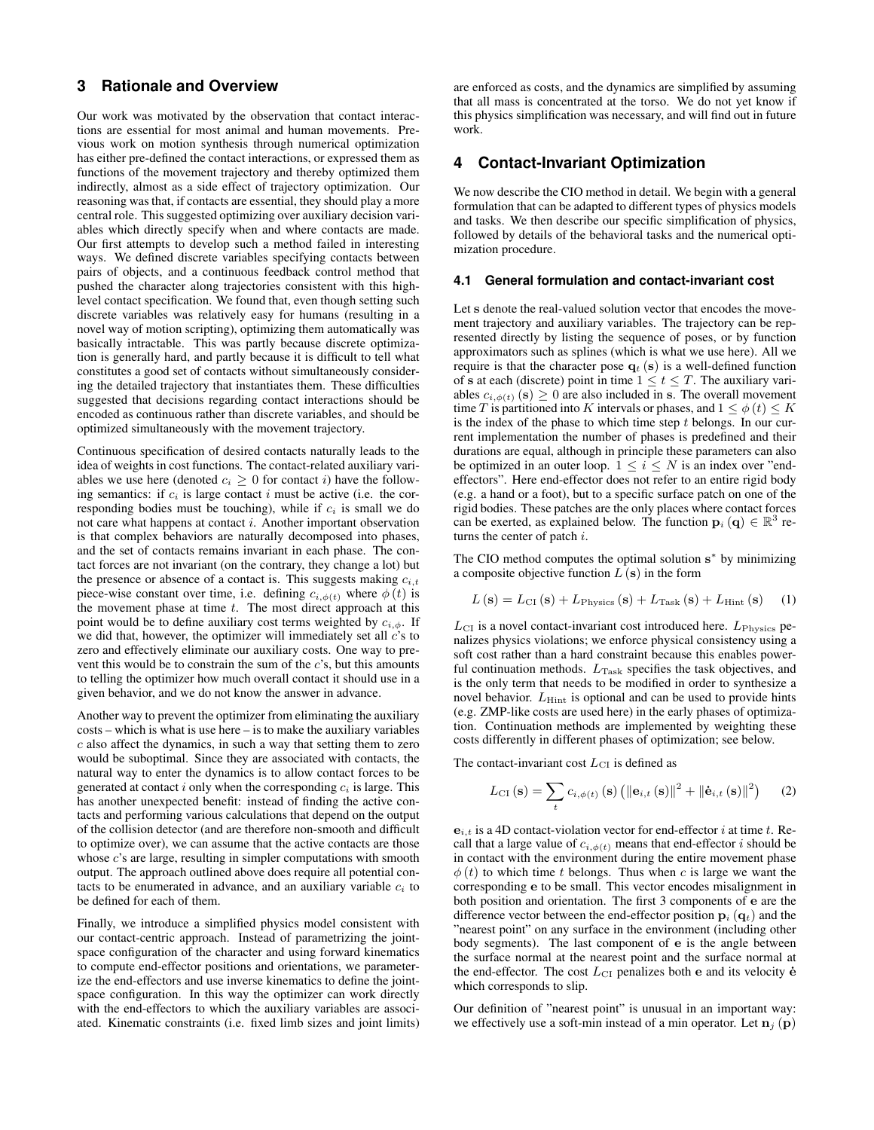## **3 Rationale and Overview**

Our work was motivated by the observation that contact interactions are essential for most animal and human movements. Previous work on motion synthesis through numerical optimization has either pre-defined the contact interactions, or expressed them as functions of the movement trajectory and thereby optimized them indirectly, almost as a side effect of trajectory optimization. Our reasoning was that, if contacts are essential, they should play a more central role. This suggested optimizing over auxiliary decision variables which directly specify when and where contacts are made. Our first attempts to develop such a method failed in interesting ways. We defined discrete variables specifying contacts between pairs of objects, and a continuous feedback control method that pushed the character along trajectories consistent with this highlevel contact specification. We found that, even though setting such discrete variables was relatively easy for humans (resulting in a novel way of motion scripting), optimizing them automatically was basically intractable. This was partly because discrete optimization is generally hard, and partly because it is difficult to tell what constitutes a good set of contacts without simultaneously considering the detailed trajectory that instantiates them. These difficulties suggested that decisions regarding contact interactions should be encoded as continuous rather than discrete variables, and should be optimized simultaneously with the movement trajectory.

Continuous specification of desired contacts naturally leads to the idea of weights in cost functions. The contact-related auxiliary variables we use here (denoted  $c_i \geq 0$  for contact i) have the following semantics: if  $c_i$  is large contact i must be active (i.e. the corresponding bodies must be touching), while if  $c_i$  is small we do not care what happens at contact i. Another important observation is that complex behaviors are naturally decomposed into phases, and the set of contacts remains invariant in each phase. The contact forces are not invariant (on the contrary, they change a lot) but the presence or absence of a contact is. This suggests making  $c_{i,t}$ piece-wise constant over time, i.e. defining  $c_{i, \phi(t)}$  where  $\phi(t)$  is the movement phase at time  $t$ . The most direct approach at this point would be to define auxiliary cost terms weighted by  $c_{i,\phi}$ . If we did that, however, the optimizer will immediately set all  $c$ 's to zero and effectively eliminate our auxiliary costs. One way to prevent this would be to constrain the sum of the c's, but this amounts to telling the optimizer how much overall contact it should use in a given behavior, and we do not know the answer in advance.

Another way to prevent the optimizer from eliminating the auxiliary costs – which is what is use here – is to make the auxiliary variables c also affect the dynamics, in such a way that setting them to zero would be suboptimal. Since they are associated with contacts, the natural way to enter the dynamics is to allow contact forces to be generated at contact i only when the corresponding  $c_i$  is large. This has another unexpected benefit: instead of finding the active contacts and performing various calculations that depend on the output of the collision detector (and are therefore non-smooth and difficult to optimize over), we can assume that the active contacts are those whose  $c$ 's are large, resulting in simpler computations with smooth output. The approach outlined above does require all potential contacts to be enumerated in advance, and an auxiliary variable  $c_i$  to be defined for each of them.

Finally, we introduce a simplified physics model consistent with our contact-centric approach. Instead of parametrizing the jointspace configuration of the character and using forward kinematics to compute end-effector positions and orientations, we parameterize the end-effectors and use inverse kinematics to define the jointspace configuration. In this way the optimizer can work directly with the end-effectors to which the auxiliary variables are associated. Kinematic constraints (i.e. fixed limb sizes and joint limits) are enforced as costs, and the dynamics are simplified by assuming that all mass is concentrated at the torso. We do not yet know if this physics simplification was necessary, and will find out in future work.

### **4 Contact-Invariant Optimization**

We now describe the CIO method in detail. We begin with a general formulation that can be adapted to different types of physics models and tasks. We then describe our specific simplification of physics, followed by details of the behavioral tasks and the numerical optimization procedure.

### **4.1 General formulation and contact-invariant cost**

Let s denote the real-valued solution vector that encodes the movement trajectory and auxiliary variables. The trajectory can be represented directly by listing the sequence of poses, or by function approximators such as splines (which is what we use here). All we require is that the character pose  $q_t$  (s) is a well-defined function of s at each (discrete) point in time  $1 \le t \le T$ . The auxiliary variables  $c_{i,\phi(t)}$  (s)  $\geq 0$  are also included in s. The overall movement time T is partitioned into K intervals or phases, and  $1 \leq \phi(t) \leq K$ is the index of the phase to which time step  $t$  belongs. In our current implementation the number of phases is predefined and their durations are equal, although in principle these parameters can also be optimized in an outer loop.  $1 \leq i \leq N$  is an index over "endeffectors". Here end-effector does not refer to an entire rigid body (e.g. a hand or a foot), but to a specific surface patch on one of the rigid bodies. These patches are the only places where contact forces can be exerted, as explained below. The function  $\mathbf{p}_i(\mathbf{q}) \in \mathbb{R}^3$  returns the center of patch i.

The CIO method computes the optimal solution s<sup>\*</sup> by minimizing a composite objective function  $L(s)$  in the form

<span id="page-2-1"></span>
$$
L(\mathbf{s}) = L_{\text{CI}}(\mathbf{s}) + L_{\text{Physics}}(\mathbf{s}) + L_{\text{Task}}(\mathbf{s}) + L_{\text{Hint}}(\mathbf{s}) \quad (1)
$$

 $L_{CI}$  is a novel contact-invariant cost introduced here.  $L_{Physics}$  penalizes physics violations; we enforce physical consistency using a soft cost rather than a hard constraint because this enables powerful continuation methods.  $L_{\text{Task}}$  specifies the task objectives, and is the only term that needs to be modified in order to synthesize a novel behavior.  $L_{\text{Hint}}$  is optional and can be used to provide hints (e.g. ZMP-like costs are used here) in the early phases of optimization. Continuation methods are implemented by weighting these costs differently in different phases of optimization; see below.

The contact-invariant cost  $L_{CI}$  is defined as

<span id="page-2-0"></span>
$$
L_{\text{CI}}\left(\mathbf{s}\right) = \sum_{t} c_{i,\phi(t)}\left(\mathbf{s}\right) \left(\left\|\mathbf{e}_{i,t}\left(\mathbf{s}\right)\right\|^{2} + \left\|\dot{\mathbf{e}}_{i,t}\left(\mathbf{s}\right)\right\|^{2}\right) \quad (2)
$$

 $e_{i,t}$  is a 4D contact-violation vector for end-effector i at time t. Recall that a large value of  $c_{i,\phi(t)}$  means that end-effector i should be in contact with the environment during the entire movement phase  $\phi(t)$  to which time t belongs. Thus when c is large we want the corresponding e to be small. This vector encodes misalignment in both position and orientation. The first 3 components of e are the difference vector between the end-effector position  ${\bf p}_i({\bf q}_t)$  and the "nearest point" on any surface in the environment (including other body segments). The last component of e is the angle between the surface normal at the nearest point and the surface normal at the end-effector. The cost  $L_{CI}$  penalizes both e and its velocity  $\dot{e}$ which corresponds to slip.

Our definition of "nearest point" is unusual in an important way: we effectively use a soft-min instead of a min operator. Let  $\mathbf{n}_i(\mathbf{p})$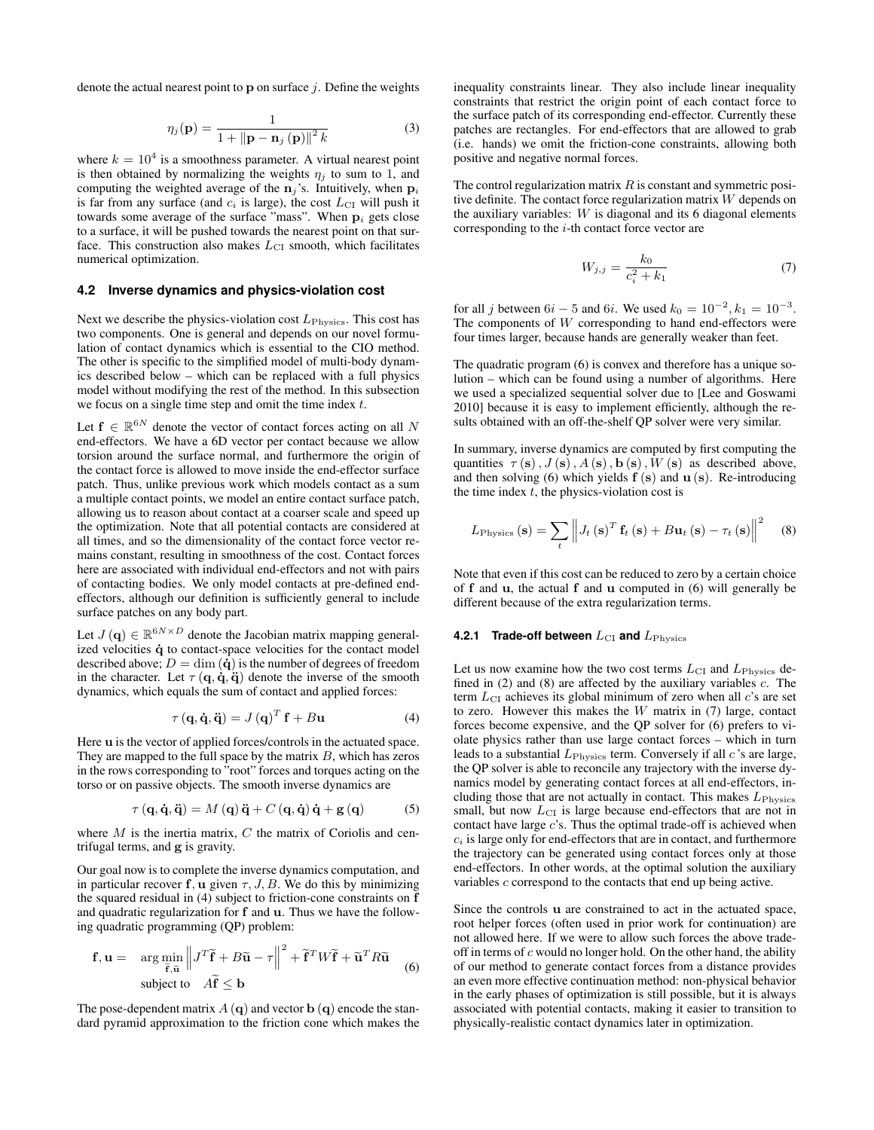denote the actual nearest point to  $\bf{p}$  on surface  $\dot{\bf{\textit{i}}}$ . Define the weights

$$
\eta_j(\mathbf{p}) = \frac{1}{1 + \|\mathbf{p} - \mathbf{n}_j(\mathbf{p})\|^2 k} \tag{3}
$$

where  $k = 10<sup>4</sup>$  is a smoothness parameter. A virtual nearest point is then obtained by normalizing the weights  $\eta_j$  to sum to 1, and computing the weighted average of the  $n_j$ 's. Intuitively, when  $p_i$ is far from any surface (and  $c_i$  is large), the cost  $L_{CI}$  will push it towards some average of the surface "mass". When  $p_i$  gets close to a surface, it will be pushed towards the nearest point on that surface. This construction also makes  $L_{CI}$  smooth, which facilitates numerical optimization.

### **4.2 Inverse dynamics and physics-violation cost**

Next we describe the physics-violation cost  $L_{\text{Physics}}$ . This cost has two components. One is general and depends on our novel formulation of contact dynamics which is essential to the CIO method. The other is specific to the simplified model of multi-body dynamics described below – which can be replaced with a full physics model without modifying the rest of the method. In this subsection we focus on a single time step and omit the time index  $t$ .

Let  $f \in \mathbb{R}^{6N}$  denote the vector of contact forces acting on all N end-effectors. We have a 6D vector per contact because we allow torsion around the surface normal, and furthermore the origin of the contact force is allowed to move inside the end-effector surface patch. Thus, unlike previous work which models contact as a sum a multiple contact points, we model an entire contact surface patch, allowing us to reason about contact at a coarser scale and speed up the optimization. Note that all potential contacts are considered at all times, and so the dimensionality of the contact force vector remains constant, resulting in smoothness of the cost. Contact forces here are associated with individual end-effectors and not with pairs of contacting bodies. We only model contacts at pre-defined endeffectors, although our definition is sufficiently general to include surface patches on any body part.

Let  $J(\mathbf{q}) \in \mathbb{R}^{6N \times D}$  denote the Jacobian matrix mapping generalized velocities  $\dot{\mathbf{q}}$  to contact-space velocities for the contact model described above;  $D = \dim(\dot{q})$  is the number of degrees of freedom in the character. Let  $\tau(\mathbf{q}, \dot{\mathbf{q}}, \ddot{\mathbf{q}})$  denote the inverse of the smooth dynamics, which equals the sum of contact and applied forces:

$$
\tau (\mathbf{q}, \dot{\mathbf{q}}, \ddot{\mathbf{q}}) = J(\mathbf{q})^T \mathbf{f} + B \mathbf{u}
$$
 (4)

Here u is the vector of applied forces/controls in the actuated space. They are mapped to the full space by the matrix  $B$ , which has zeros in the rows corresponding to "root" forces and torques acting on the torso or on passive objects. The smooth inverse dynamics are

$$
\tau (\mathbf{q}, \dot{\mathbf{q}}, \ddot{\mathbf{q}}) = M (\mathbf{q}) \ddot{\mathbf{q}} + C (\mathbf{q}, \dot{\mathbf{q}}) \dot{\mathbf{q}} + \mathbf{g} (\mathbf{q}) \tag{5}
$$

where  $M$  is the inertia matrix,  $C$  the matrix of Coriolis and centrifugal terms, and g is gravity.

Our goal now is to complete the inverse dynamics computation, and in particular recover f, u given  $\tau$ , J, B. We do this by minimizing the squared residual in [\(4\)](#page-3-0) subject to friction-cone constraints on f and quadratic regularization for f and u. Thus we have the following quadratic programming (QP) problem:

$$
\mathbf{f}, \mathbf{u} = \arg\min_{\widetilde{\mathbf{f}}, \widetilde{\mathbf{u}}} \left\| J^T \widetilde{\mathbf{f}} + B \widetilde{\mathbf{u}} - \tau \right\|^2 + \widetilde{\mathbf{f}}^T W \widetilde{\mathbf{f}} + \widetilde{\mathbf{u}}^T R \widetilde{\mathbf{u}} \tag{6}
$$
  
subject to  $A\widetilde{\mathbf{f}} \leq \mathbf{b}$ 

The pose-dependent matrix  $A(\mathbf{q})$  and vector  $\mathbf{b}(\mathbf{q})$  encode the standard pyramid approximation to the friction cone which makes the inequality constraints linear. They also include linear inequality constraints that restrict the origin point of each contact force to the surface patch of its corresponding end-effector. Currently these patches are rectangles. For end-effectors that are allowed to grab (i.e. hands) we omit the friction-cone constraints, allowing both positive and negative normal forces.

The control regularization matrix  $R$  is constant and symmetric positive definite. The contact force regularization matrix  $W$  depends on the auxiliary variables:  $W$  is diagonal and its 6 diagonal elements corresponding to the  $i$ -th contact force vector are

<span id="page-3-3"></span>
$$
W_{j,j} = \frac{k_0}{c_i^2 + k_1} \tag{7}
$$

for all j between  $6i - 5$  and  $6i$ . We used  $k_0 = 10^{-2}$ ,  $k_1 = 10^{-3}$ . The components of W corresponding to hand end-effectors were four times larger, because hands are generally weaker than feet.

The quadratic program [\(6\)](#page-3-1) is convex and therefore has a unique solution – which can be found using a number of algorithms. Here we used a specialized sequential solver due to [\[Lee and Goswami](#page-6-20) [2010\]](#page-6-20) because it is easy to implement efficiently, although the results obtained with an off-the-shelf QP solver were very similar.

In summary, inverse dynamics are computed by first computing the quantities  $\tau(s)$ ,  $J(s)$ ,  $A(s)$ ,  $b(s)$ ,  $W(s)$  as described above, and then solving [\(6\)](#page-3-1) which yields  $f(s)$  and  $u(s)$ . Re-introducing the time index  $t$ , the physics-violation cost is

<span id="page-3-2"></span>
$$
L_{\text{Physics}}\left(\mathbf{s}\right) = \sum_{t} \left\| J_t\left(\mathbf{s}\right)^T \mathbf{f}_t\left(\mathbf{s}\right) + B \mathbf{u}_t\left(\mathbf{s}\right) - \tau_t\left(\mathbf{s}\right) \right\|^2 \tag{8}
$$

Note that even if this cost can be reduced to zero by a certain choice of f and u, the actual f and u computed in [\(6\)](#page-3-1) will generally be different because of the extra regularization terms.

#### **4.2.1 Trade-off between**  $L_{CI}$  and  $L_{Plysis}$

<span id="page-3-0"></span>Let us now examine how the two cost terms  $L_{CI}$  and  $L_{\text{Physics}}$  defined in  $(2)$  and  $(8)$  are affected by the auxiliary variables  $c$ . The term  $L_{CI}$  achieves its global minimum of zero when all  $c$ 's are set to zero. However this makes the  $W$  matrix in  $(7)$  large, contact forces become expensive, and the QP solver for [\(6\)](#page-3-1) prefers to violate physics rather than use large contact forces – which in turn leads to a substantial  $L_{\text{Physics}}$  term. Conversely if all  $c$ 's are large, the QP solver is able to reconcile any trajectory with the inverse dynamics model by generating contact forces at all end-effectors, including those that are not actually in contact. This makes  $L_{\text{Physics}}$ small, but now  $L_{CI}$  is large because end-effectors that are not in contact have large  $c$ 's. Thus the optimal trade-off is achieved when  $c_i$  is large only for end-effectors that are in contact, and furthermore the trajectory can be generated using contact forces only at those end-effectors. In other words, at the optimal solution the auxiliary variables  $c$  correspond to the contacts that end up being active.

<span id="page-3-1"></span>Since the controls u are constrained to act in the actuated space, root helper forces (often used in prior work for continuation) are not allowed here. If we were to allow such forces the above tradeoff in terms of  $c$  would no longer hold. On the other hand, the ability of our method to generate contact forces from a distance provides an even more effective continuation method: non-physical behavior in the early phases of optimization is still possible, but it is always associated with potential contacts, making it easier to transition to physically-realistic contact dynamics later in optimization.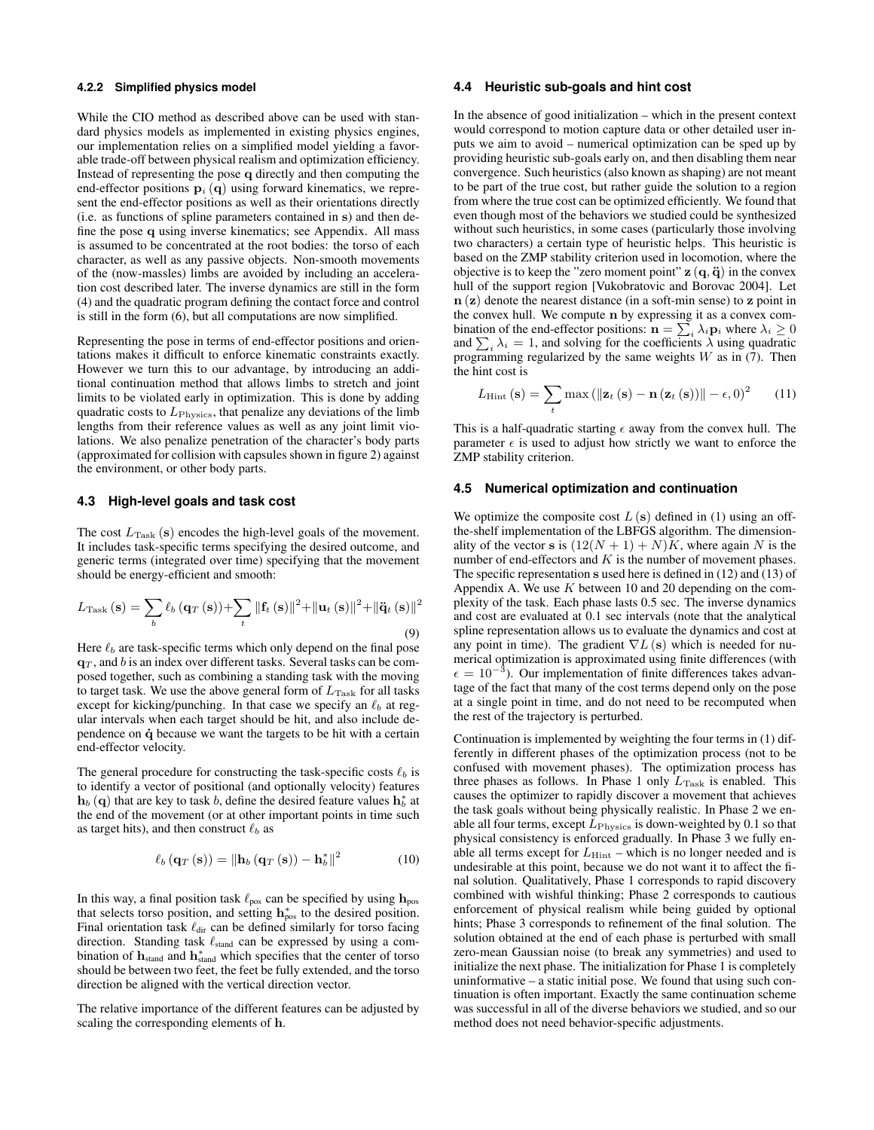#### **4.2.2 Simplified physics model**

While the CIO method as described above can be used with standard physics models as implemented in existing physics engines, our implementation relies on a simplified model yielding a favorable trade-off between physical realism and optimization efficiency. Instead of representing the pose q directly and then computing the end-effector positions  $\mathbf{p}_i(\mathbf{q})$  using forward kinematics, we represent the end-effector positions as well as their orientations directly (i.e. as functions of spline parameters contained in s) and then define the pose q using inverse kinematics; see Appendix. All mass is assumed to be concentrated at the root bodies: the torso of each character, as well as any passive objects. Non-smooth movements of the (now-massles) limbs are avoided by including an acceleration cost described later. The inverse dynamics are still in the form [\(4\)](#page-3-0) and the quadratic program defining the contact force and control is still in the form [\(6\)](#page-3-1), but all computations are now simplified.

Representing the pose in terms of end-effector positions and orientations makes it difficult to enforce kinematic constraints exactly. However we turn this to our advantage, by introducing an additional continuation method that allows limbs to stretch and joint limits to be violated early in optimization. This is done by adding quadratic costs to  $L_{\text{Physics}}$ , that penalize any deviations of the limb lengths from their reference values as well as any joint limit violations. We also penalize penetration of the character's body parts (approximated for collision with capsules shown in figure [2\)](#page-7-21) against the environment, or other body parts.

### **4.3 High-level goals and task cost**

The cost  $L_{\text{Task}}(\textbf{s})$  encodes the high-level goals of the movement. It includes task-specific terms specifying the desired outcome, and generic terms (integrated over time) specifying that the movement should be energy-efficient and smooth:

$$
L_{\text{Task}}\left(\mathbf{s}\right) = \sum_{b} \ell_b \left(\mathbf{q}_T\left(\mathbf{s}\right)\right) + \sum_{t} \left\|\mathbf{f}_t\left(\mathbf{s}\right)\right\|^2 + \left\|\mathbf{u}_t\left(\mathbf{s}\right)\right\|^2 + \left\|\ddot{\mathbf{q}}_t\left(\mathbf{s}\right)\right\|^2 \tag{9}
$$

Here  $\ell_b$  are task-specific terms which only depend on the final pose  $q_T$ , and b is an index over different tasks. Several tasks can be composed together, such as combining a standing task with the moving to target task. We use the above general form of  $L_{\rm Task}$  for all tasks except for kicking/punching. In that case we specify an  $\ell_b$  at regular intervals when each target should be hit, and also include dependence on  $\dot{q}$  because we want the targets to be hit with a certain end-effector velocity.

The general procedure for constructing the task-specific costs  $\ell_b$  is to identify a vector of positional (and optionally velocity) features  $\mathbf{h}_b(\mathbf{q})$  that are key to task b, define the desired feature values  $\mathbf{h}_b^*$  at the end of the movement (or at other important points in time such as target hits), and then construct  $\ell_b$  as

$$
\ell_b\left(\mathbf{q}_T\left(\mathbf{s}\right)\right) = \left\|\mathbf{h}_b\left(\mathbf{q}_T\left(\mathbf{s}\right)\right) - \mathbf{h}_b^*\right\|^2\tag{10}
$$

In this way, a final position task  $\ell_{\text{pos}}$  can be specified by using  $\mathbf{h}_{\text{pos}}$ that selects torso position, and setting  $h_{pos}^{*}$  to the desired position. Final orientation task  $\ell_{\text{dir}}$  can be defined similarly for torso facing direction. Standing task  $\ell_{\text{stand}}$  can be expressed by using a combination of  $h_{\text{stand}}$  and  $h_{\text{stand}}^*$  which specifies that the center of torso should be between two feet, the feet be fully extended, and the torso direction be aligned with the vertical direction vector.

The relative importance of the different features can be adjusted by scaling the corresponding elements of h.

### **4.4 Heuristic sub-goals and hint cost**

In the absence of good initialization – which in the present context would correspond to motion capture data or other detailed user inputs we aim to avoid – numerical optimization can be sped up by providing heuristic sub-goals early on, and then disabling them near convergence. Such heuristics (also known as shaping) are not meant to be part of the true cost, but rather guide the solution to a region from where the true cost can be optimized efficiently. We found that even though most of the behaviors we studied could be synthesized without such heuristics, in some cases (particularly those involving two characters) a certain type of heuristic helps. This heuristic is based on the ZMP stability criterion used in locomotion, where the objective is to keep the "zero moment point"  $z(q, \ddot{q})$  in the convex hull of the support region [\[Vukobratovic and Borovac 2004\]](#page-7-22). Let  $n(z)$  denote the nearest distance (in a soft-min sense) to z point in the convex hull. We compute n by expressing it as a convex combination of the end-effector positions:  $\mathbf{n} = \sum_i \lambda_i \mathbf{p}_i$  where  $\lambda_i \ge 0$ and  $\sum_i \lambda_i = 1$ , and solving for the coefficients  $\lambda$  using quadratic programming regularized by the same weights  $W$  as in [\(7\)](#page-3-3). Then the hint cost is

$$
L_{\text{Hint}}\left(\mathbf{s}\right) = \sum_{t} \max\left(\|\mathbf{z}_t\left(\mathbf{s}\right) - \mathbf{n}\left(\mathbf{z}_t\left(\mathbf{s}\right)\right)\| - \epsilon, 0\right)^2\tag{11}
$$

This is a half-quadratic starting  $\epsilon$  away from the convex hull. The parameter  $\epsilon$  is used to adjust how strictly we want to enforce the ZMP stability criterion.

#### **4.5 Numerical optimization and continuation**

<span id="page-4-0"></span>We optimize the composite cost  $L(s)$  defined in [\(1\)](#page-2-1) using an offthe-shelf implementation of the LBFGS algorithm. The dimensionality of the vector s is  $(12(N + 1) + N)K$ , where again N is the number of end-effectors and  $K$  is the number of movement phases. The specific representation s used here is defined in [\(12\)](#page-7-23) and [\(13\)](#page-7-24) of Appendix A. We use  $K$  between 10 and 20 depending on the complexity of the task. Each phase lasts 0.5 sec. The inverse dynamics and cost are evaluated at 0.1 sec intervals (note that the analytical spline representation allows us to evaluate the dynamics and cost at any point in time). The gradient  $\nabla L(s)$  which is needed for numerical optimization is approximated using finite differences (with  $\epsilon = 10^{-3}$ ). Our implementation of finite differences takes advantage of the fact that many of the cost terms depend only on the pose at a single point in time, and do not need to be recomputed when the rest of the trajectory is perturbed.

Continuation is implemented by weighting the four terms in [\(1\)](#page-2-1) differently in different phases of the optimization process (not to be confused with movement phases). The optimization process has three phases as follows. In Phase 1 only  $L_{\text{Task}}$  is enabled. This causes the optimizer to rapidly discover a movement that achieves the task goals without being physically realistic. In Phase 2 we enable all four terms, except  $L_{\text{Physics}}$  is down-weighted by 0.1 so that physical consistency is enforced gradually. In Phase 3 we fully enable all terms except for  $L_{\text{Hint}}$  – which is no longer needed and is undesirable at this point, because we do not want it to affect the final solution. Qualitatively, Phase 1 corresponds to rapid discovery combined with wishful thinking; Phase 2 corresponds to cautious enforcement of physical realism while being guided by optional hints; Phase 3 corresponds to refinement of the final solution. The solution obtained at the end of each phase is perturbed with small zero-mean Gaussian noise (to break any symmetries) and used to initialize the next phase. The initialization for Phase 1 is completely uninformative – a static initial pose. We found that using such continuation is often important. Exactly the same continuation scheme was successful in all of the diverse behaviors we studied, and so our method does not need behavior-specific adjustments.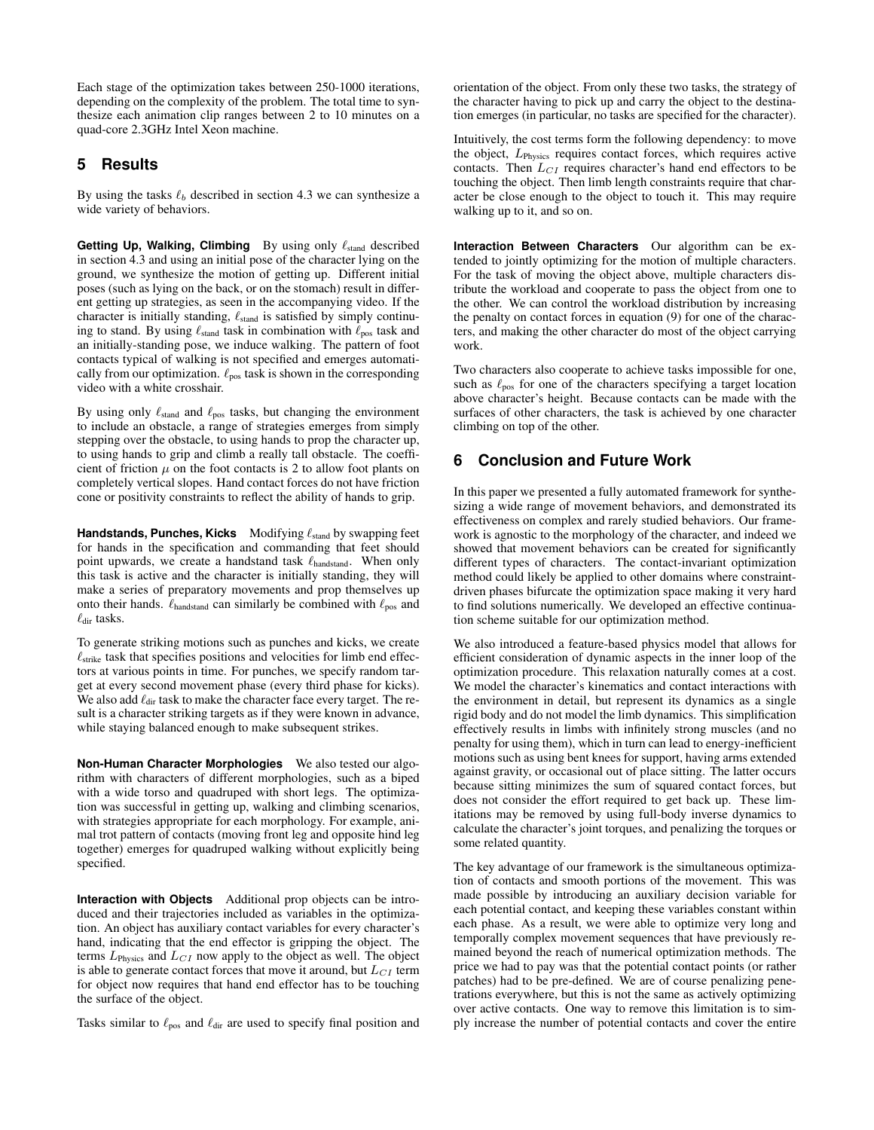Each stage of the optimization takes between 250-1000 iterations, depending on the complexity of the problem. The total time to synthesize each animation clip ranges between 2 to 10 minutes on a quad-core 2.3GHz Intel Xeon machine.

## **5 Results**

By using the tasks  $\ell_b$  described in section 4.3 we can synthesize a wide variety of behaviors.

**Getting Up, Walking, Climbing** By using only  $\ell_{\text{stand}}$  described in section 4.3 and using an initial pose of the character lying on the ground, we synthesize the motion of getting up. Different initial poses (such as lying on the back, or on the stomach) result in different getting up strategies, as seen in the accompanying video. If the character is initially standing,  $\ell_{\text{stand}}$  is satisfied by simply continuing to stand. By using  $\ell_{\text{stand}}$  task in combination with  $\ell_{\text{pos}}$  task and an initially-standing pose, we induce walking. The pattern of foot contacts typical of walking is not specified and emerges automatically from our optimization.  $\ell_{\text{pos}}$  task is shown in the corresponding video with a white crosshair.

By using only  $\ell_{\text{stand}}$  and  $\ell_{\text{pos}}$  tasks, but changing the environment to include an obstacle, a range of strategies emerges from simply stepping over the obstacle, to using hands to prop the character up, to using hands to grip and climb a really tall obstacle. The coefficient of friction  $\mu$  on the foot contacts is 2 to allow foot plants on completely vertical slopes. Hand contact forces do not have friction cone or positivity constraints to reflect the ability of hands to grip.

**Handstands, Punches, Kicks** Modifying  $\ell_{\text{stand}}$  by swapping feet for hands in the specification and commanding that feet should point upwards, we create a handstand task  $\ell_{\text{handstand}}$ . When only this task is active and the character is initially standing, they will make a series of preparatory movements and prop themselves up onto their hands.  $\ell_{\text{handstand}}$  can similarly be combined with  $\ell_{\text{pos}}$  and  $\ell_{\text{dir}}$  tasks.

To generate striking motions such as punches and kicks, we create  $\ell_{\text{strike}}$  task that specifies positions and velocities for limb end effectors at various points in time. For punches, we specify random target at every second movement phase (every third phase for kicks). We also add  $\ell_{\text{dir}}$  task to make the character face every target. The result is a character striking targets as if they were known in advance, while staying balanced enough to make subsequent strikes.

**Non-Human Character Morphologies** We also tested our algorithm with characters of different morphologies, such as a biped with a wide torso and quadruped with short legs. The optimization was successful in getting up, walking and climbing scenarios, with strategies appropriate for each morphology. For example, animal trot pattern of contacts (moving front leg and opposite hind leg together) emerges for quadruped walking without explicitly being specified.

**Interaction with Objects** Additional prop objects can be introduced and their trajectories included as variables in the optimization. An object has auxiliary contact variables for every character's hand, indicating that the end effector is gripping the object. The terms  $L_{\text{Physics}}$  and  $L_{CI}$  now apply to the object as well. The object is able to generate contact forces that move it around, but  $L_{CI}$  term for object now requires that hand end effector has to be touching the surface of the object.

Tasks similar to  $\ell_{\text{pos}}$  and  $\ell_{\text{dir}}$  are used to specify final position and

orientation of the object. From only these two tasks, the strategy of the character having to pick up and carry the object to the destination emerges (in particular, no tasks are specified for the character).

Intuitively, the cost terms form the following dependency: to move the object, LPhysics requires contact forces, which requires active contacts. Then  $L_{CI}$  requires character's hand end effectors to be touching the object. Then limb length constraints require that character be close enough to the object to touch it. This may require walking up to it, and so on.

**Interaction Between Characters** Our algorithm can be extended to jointly optimizing for the motion of multiple characters. For the task of moving the object above, multiple characters distribute the workload and cooperate to pass the object from one to the other. We can control the workload distribution by increasing the penalty on contact forces in equation [\(9\)](#page-4-0) for one of the characters, and making the other character do most of the object carrying work.

Two characters also cooperate to achieve tasks impossible for one, such as  $\ell_{\text{pos}}$  for one of the characters specifying a target location above character's height. Because contacts can be made with the surfaces of other characters, the task is achieved by one character climbing on top of the other.

## **6 Conclusion and Future Work**

In this paper we presented a fully automated framework for synthesizing a wide range of movement behaviors, and demonstrated its effectiveness on complex and rarely studied behaviors. Our framework is agnostic to the morphology of the character, and indeed we showed that movement behaviors can be created for significantly different types of characters. The contact-invariant optimization method could likely be applied to other domains where constraintdriven phases bifurcate the optimization space making it very hard to find solutions numerically. We developed an effective continuation scheme suitable for our optimization method.

We also introduced a feature-based physics model that allows for efficient consideration of dynamic aspects in the inner loop of the optimization procedure. This relaxation naturally comes at a cost. We model the character's kinematics and contact interactions with the environment in detail, but represent its dynamics as a single rigid body and do not model the limb dynamics. This simplification effectively results in limbs with infinitely strong muscles (and no penalty for using them), which in turn can lead to energy-inefficient motions such as using bent knees for support, having arms extended against gravity, or occasional out of place sitting. The latter occurs because sitting minimizes the sum of squared contact forces, but does not consider the effort required to get back up. These limitations may be removed by using full-body inverse dynamics to calculate the character's joint torques, and penalizing the torques or some related quantity.

The key advantage of our framework is the simultaneous optimization of contacts and smooth portions of the movement. This was made possible by introducing an auxiliary decision variable for each potential contact, and keeping these variables constant within each phase. As a result, we were able to optimize very long and temporally complex movement sequences that have previously remained beyond the reach of numerical optimization methods. The price we had to pay was that the potential contact points (or rather patches) had to be pre-defined. We are of course penalizing penetrations everywhere, but this is not the same as actively optimizing over active contacts. One way to remove this limitation is to simply increase the number of potential contacts and cover the entire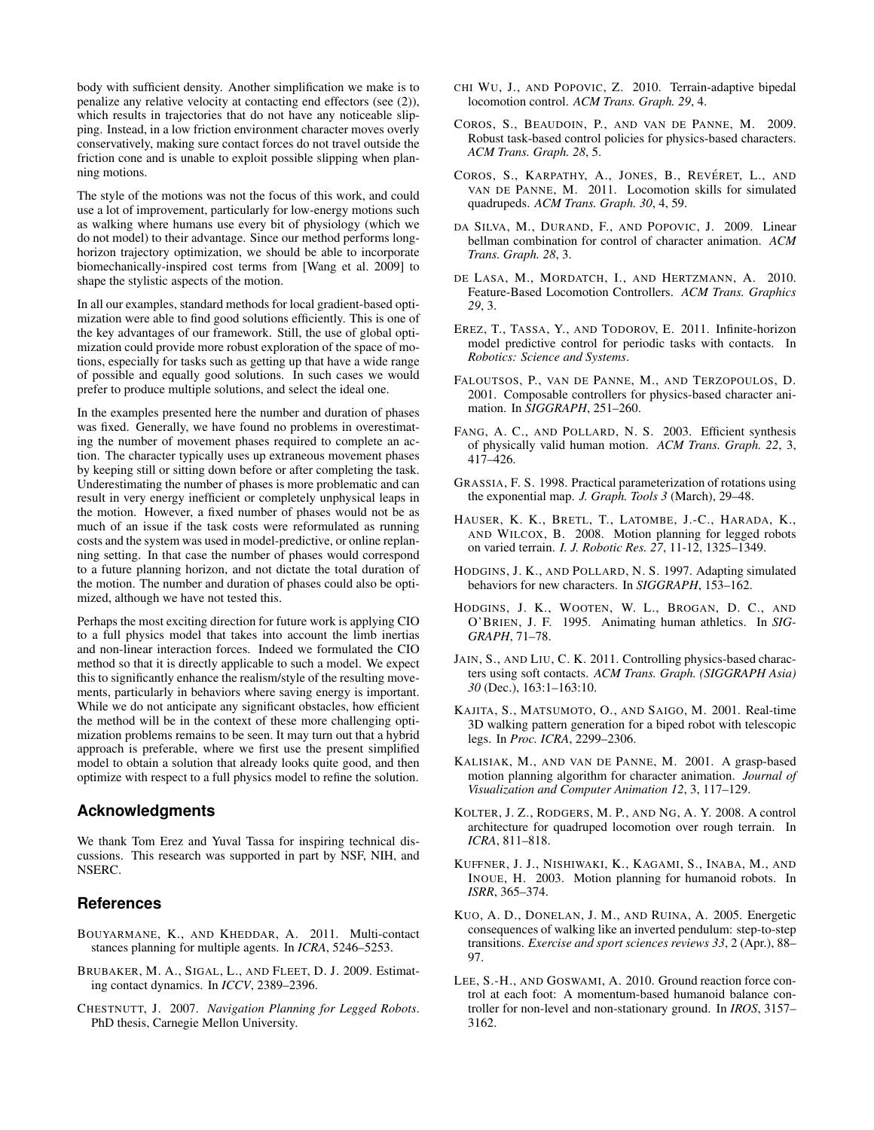body with sufficient density. Another simplification we make is to penalize any relative velocity at contacting end effectors (see [\(2\)](#page-2-0)), which results in trajectories that do not have any noticeable slipping. Instead, in a low friction environment character moves overly conservatively, making sure contact forces do not travel outside the friction cone and is unable to exploit possible slipping when planning motions.

The style of the motions was not the focus of this work, and could use a lot of improvement, particularly for low-energy motions such as walking where humans use every bit of physiology (which we do not model) to their advantage. Since our method performs longhorizon trajectory optimization, we should be able to incorporate biomechanically-inspired cost terms from [\[Wang et al. 2009\]](#page-7-25) to shape the stylistic aspects of the motion.

In all our examples, standard methods for local gradient-based optimization were able to find good solutions efficiently. This is one of the key advantages of our framework. Still, the use of global optimization could provide more robust exploration of the space of motions, especially for tasks such as getting up that have a wide range of possible and equally good solutions. In such cases we would prefer to produce multiple solutions, and select the ideal one.

In the examples presented here the number and duration of phases was fixed. Generally, we have found no problems in overestimating the number of movement phases required to complete an action. The character typically uses up extraneous movement phases by keeping still or sitting down before or after completing the task. Underestimating the number of phases is more problematic and can result in very energy inefficient or completely unphysical leaps in the motion. However, a fixed number of phases would not be as much of an issue if the task costs were reformulated as running costs and the system was used in model-predictive, or online replanning setting. In that case the number of phases would correspond to a future planning horizon, and not dictate the total duration of the motion. The number and duration of phases could also be optimized, although we have not tested this.

Perhaps the most exciting direction for future work is applying CIO to a full physics model that takes into account the limb inertias and non-linear interaction forces. Indeed we formulated the CIO method so that it is directly applicable to such a model. We expect this to significantly enhance the realism/style of the resulting movements, particularly in behaviors where saving energy is important. While we do not anticipate any significant obstacles, how efficient the method will be in the context of these more challenging optimization problems remains to be seen. It may turn out that a hybrid approach is preferable, where we first use the present simplified model to obtain a solution that already looks quite good, and then optimize with respect to a full physics model to refine the solution.

## **Acknowledgments**

We thank Tom Erez and Yuval Tassa for inspiring technical discussions. This research was supported in part by NSF, NIH, and NSERC.

### **References**

- <span id="page-6-19"></span>BOUYARMANE, K., AND KHEDDAR, A. 2011. Multi-contact stances planning for multiple agents. In *ICRA*, 5246–5253.
- <span id="page-6-12"></span>BRUBAKER, M. A., SIGAL, L., AND FLEET, D. J. 2009. Estimating contact dynamics. In *ICCV*, 2389–2396.
- <span id="page-6-16"></span>CHESTNUTT, J. 2007. *Navigation Planning for Legged Robots*. PhD thesis, Carnegie Mellon University.
- <span id="page-6-4"></span>CHI WU, J., AND POPOVIC, Z. 2010. Terrain-adaptive bipedal locomotion control. *ACM Trans. Graph. 29*, 4.
- <span id="page-6-9"></span>COROS, S., BEAUDOIN, P., AND VAN DE PANNE, M. 2009. Robust task-based control policies for physics-based characters. *ACM Trans. Graph. 28*, 5.
- <span id="page-6-6"></span>COROS, S., KARPATHY, A., JONES, B., REVÉRET, L., AND VAN DE PANNE, M. 2011. Locomotion skills for simulated quadrupeds. *ACM Trans. Graph. 30*, 4, 59.
- <span id="page-6-8"></span>DA SILVA, M., DURAND, F., AND POPOVIC, J. 2009. Linear bellman combination for control of character animation. *ACM Trans. Graph. 28*, 3.
- <span id="page-6-5"></span>DE LASA, M., MORDATCH, I., AND HERTZMANN, A. 2010. Feature-Based Locomotion Controllers. *ACM Trans. Graphics 29*, 3.
- <span id="page-6-13"></span>EREZ, T., TASSA, Y., AND TODOROV, E. 2011. Infinite-horizon model predictive control for periodic tasks with contacts. In *Robotics: Science and Systems*.
- <span id="page-6-7"></span>FALOUTSOS, P., VAN DE PANNE, M., AND TERZOPOULOS, D. 2001. Composable controllers for physics-based character animation. In *SIGGRAPH*, 251–260.
- <span id="page-6-11"></span>FANG, A. C., AND POLLARD, N. S. 2003. Efficient synthesis of physically valid human motion. *ACM Trans. Graph. 22*, 3, 417–426.
- <span id="page-6-21"></span>GRASSIA, F. S. 1998. Practical parameterization of rotations using the exponential map. *J. Graph. Tools 3* (March), 29–48.
- <span id="page-6-17"></span>HAUSER, K. K., BRETL, T., LATOMBE, J.-C., HARADA, K., AND WILCOX, B. 2008. Motion planning for legged robots on varied terrain. *I. J. Robotic Res. 27*, 11-12, 1325–1349.
- <span id="page-6-1"></span>HODGINS, J. K., AND POLLARD, N. S. 1997. Adapting simulated behaviors for new characters. In *SIGGRAPH*, 153–162.
- <span id="page-6-0"></span>HODGINS, J. K., WOOTEN, W. L., BROGAN, D. C., AND O'BRIEN, J. F. 1995. Animating human athletics. In *SIG-GRAPH*, 71–78.
- <span id="page-6-14"></span>JAIN, S., AND LIU, C. K. 2011. Controlling physics-based characters using soft contacts. *ACM Trans. Graph. (SIGGRAPH Asia) 30* (Dec.), 163:1–163:10.
- <span id="page-6-2"></span>KAJITA, S., MATSUMOTO, O., AND SAIGO, M. 2001. Real-time 3D walking pattern generation for a biped robot with telescopic legs. In *Proc. ICRA*, 2299–2306.
- <span id="page-6-10"></span>KALISIAK, M., AND VAN DE PANNE, M. 2001. A grasp-based motion planning algorithm for character animation. *Journal of Visualization and Computer Animation 12*, 3, 117–129.
- <span id="page-6-18"></span>KOLTER, J. Z., RODGERS, M. P., AND NG, A. Y. 2008. A control architecture for quadruped locomotion over rough terrain. In *ICRA*, 811–818.
- <span id="page-6-15"></span>KUFFNER, J. J., NISHIWAKI, K., KAGAMI, S., INABA, M., AND INOUE, H. 2003. Motion planning for humanoid robots. In *ISRR*, 365–374.
- <span id="page-6-3"></span>KUO, A. D., DONELAN, J. M., AND RUINA, A. 2005. Energetic consequences of walking like an inverted pendulum: step-to-step transitions. *Exercise and sport sciences reviews 33*, 2 (Apr.), 88– 97.
- <span id="page-6-20"></span>LEE, S.-H., AND GOSWAMI, A. 2010. Ground reaction force control at each foot: A momentum-based humanoid balance controller for non-level and non-stationary ground. In *IROS*, 3157– 3162.